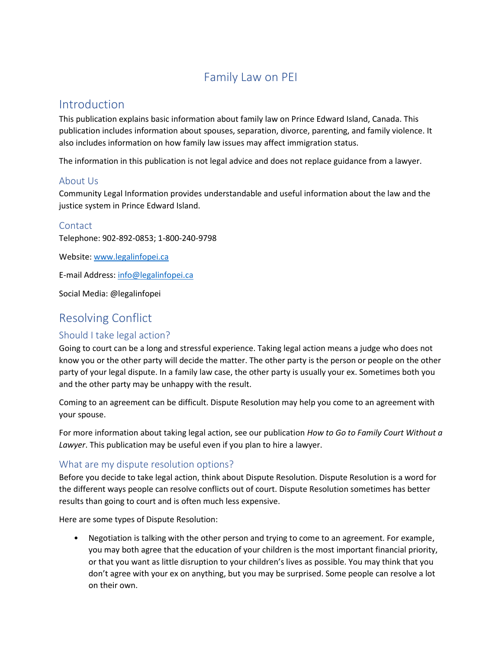# Family Law on PEI

## Introduction

This publication explains basic information about family law on Prince Edward Island, Canada. This publication includes information about spouses, separation, divorce, parenting, and family violence. It also includes information on how family law issues may affect immigration status.

The information in this publication is not legal advice and does not replace guidance from a lawyer.

### About Us

Community Legal Information provides understandable and useful information about the law and the justice system in Prince Edward Island.

### **Contact**

Telephone: 902-892-0853; 1-800-240-9798

Website[: www.legalinfopei.ca](http://www.legalinfopei.ca/)

E-mail Address[: info@legalinfopei.ca](mailto:info@legalinfopei.ca)

Social Media: @legalinfopei

# Resolving Conflict

## Should I take legal action?

Going to court can be a long and stressful experience. Taking legal action means a judge who does not know you or the other party will decide the matter. The other party is the person or people on the other party of your legal dispute. In a family law case, the other party is usually your ex. Sometimes both you and the other party may be unhappy with the result.

Coming to an agreement can be difficult. Dispute Resolution may help you come to an agreement with your spouse.

For more information about taking legal action, see our publication *How to Go to Family Court Without a Lawyer*. This publication may be useful even if you plan to hire a lawyer.

## What are my dispute resolution options?

Before you decide to take legal action, think about Dispute Resolution. Dispute Resolution is a word for the different ways people can resolve conflicts out of court. Dispute Resolution sometimes has better results than going to court and is often much less expensive.

Here are some types of Dispute Resolution:

• Negotiation is talking with the other person and trying to come to an agreement. For example, you may both agree that the education of your children is the most important financial priority, or that you want as little disruption to your children's lives as possible. You may think that you don't agree with your ex on anything, but you may be surprised. Some people can resolve a lot on their own.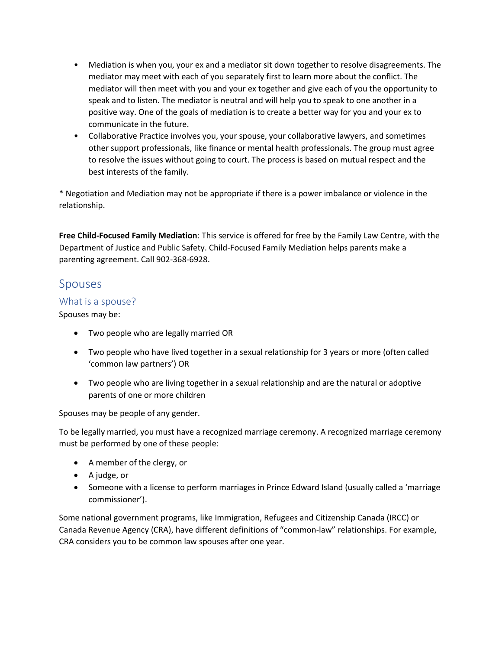- Mediation is when you, your ex and a mediator sit down together to resolve disagreements. The mediator may meet with each of you separately first to learn more about the conflict. The mediator will then meet with you and your ex together and give each of you the opportunity to speak and to listen. The mediator is neutral and will help you to speak to one another in a positive way. One of the goals of mediation is to create a better way for you and your ex to communicate in the future.
- Collaborative Practice involves you, your spouse, your collaborative lawyers, and sometimes other support professionals, like finance or mental health professionals. The group must agree to resolve the issues without going to court. The process is based on mutual respect and the best interests of the family.

\* Negotiation and Mediation may not be appropriate if there is a power imbalance or violence in the relationship.

**Free Child-Focused Family Mediation**: This service is offered for free by the Family Law Centre, with the Department of Justice and Public Safety. Child-Focused Family Mediation helps parents make a parenting agreement. Call 902-368-6928.

## Spouses

### What is a spouse?

Spouses may be:

- Two people who are legally married OR
- Two people who have lived together in a sexual relationship for 3 years or more (often called 'common law partners') OR
- Two people who are living together in a sexual relationship and are the natural or adoptive parents of one or more children

Spouses may be people of any gender.

To be legally married, you must have a recognized marriage ceremony. A recognized marriage ceremony must be performed by one of these people:

- A member of the clergy, or
- A judge, or
- Someone with a license to perform marriages in Prince Edward Island (usually called a 'marriage commissioner').

Some national government programs, like Immigration, Refugees and Citizenship Canada (IRCC) or Canada Revenue Agency (CRA), have different definitions of "common-law" relationships. For example, CRA considers you to be common law spouses after one year.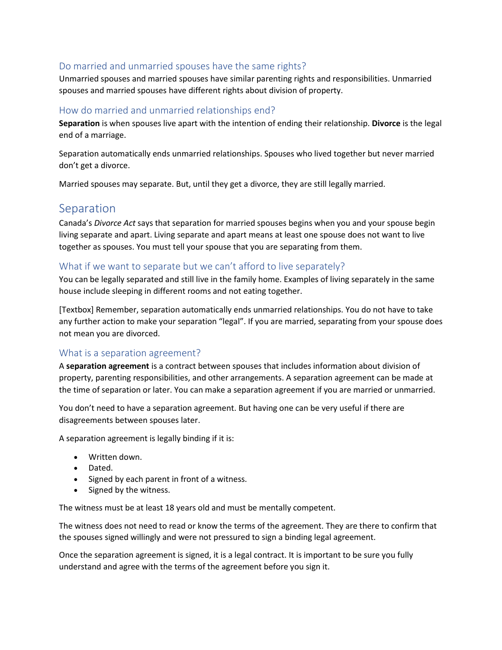## Do married and unmarried spouses have the same rights?

Unmarried spouses and married spouses have similar parenting rights and responsibilities. Unmarried spouses and married spouses have different rights about division of property.

### How do married and unmarried relationships end?

**Separation** is when spouses live apart with the intention of ending their relationship. **Divorce** is the legal end of a marriage.

Separation automatically ends unmarried relationships. Spouses who lived together but never married don't get a divorce.

Married spouses may separate. But, until they get a divorce, they are still legally married.

## Separation

Canada's *Divorce Act* says that separation for married spouses begins when you and your spouse begin living separate and apart. Living separate and apart means at least one spouse does not want to live together as spouses. You must tell your spouse that you are separating from them.

## What if we want to separate but we can't afford to live separately?

You can be legally separated and still live in the family home. Examples of living separately in the same house include sleeping in different rooms and not eating together.

[Textbox] Remember, separation automatically ends unmarried relationships. You do not have to take any further action to make your separation "legal". If you are married, separating from your spouse does not mean you are divorced.

### What is a separation agreement?

A **separation agreement** is a contract between spouses that includes information about division of property, parenting responsibilities, and other arrangements. A separation agreement can be made at the time of separation or later. You can make a separation agreement if you are married or unmarried.

You don't need to have a separation agreement. But having one can be very useful if there are disagreements between spouses later.

A separation agreement is legally binding if it is:

- Written down.
- Dated.
- Signed by each parent in front of a witness.
- Signed by the witness.

The witness must be at least 18 years old and must be mentally competent.

The witness does not need to read or know the terms of the agreement. They are there to confirm that the spouses signed willingly and were not pressured to sign a binding legal agreement.

Once the separation agreement is signed, it is a legal contract. It is important to be sure you fully understand and agree with the terms of the agreement before you sign it.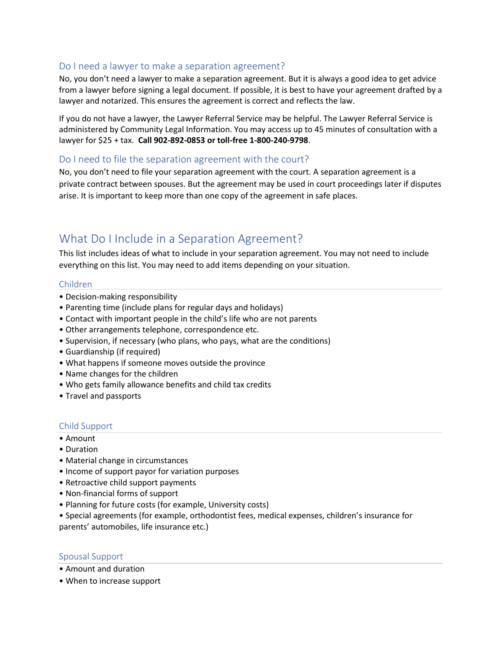### Do I need a lawyer to make a separation agreement?

No, you don't need a lawyer to make a separation agreement. But it is always a good idea to get advice from a lawyer before signing a legal document. If possible, it is best to have your agreement drafted by a lawyer and notarized. This ensures the agreement is correct and reflects the law.

If you do not have a lawyer, the Lawyer Referral Service may be helpful. The Lawyer Referral Service is administered by Community Legal Information. You may access up to 45 minutes of consultation with a lawyer for \$25 + tax. **Call 902-892-0853 or toll-free 1-800-240-9798**.

#### Do I need to file the separation agreement with the court?

No, you don't need to file your separation agreement with the court. A separation agreement is a private contract between spouses. But the agreement may be used in court proceedings later if disputes arise. It is important to keep more than one copy of the agreement in safe places.

## What Do I Include in a Separation Agreement?

This list includes ideas of what to include in your separation agreement. You may not need to include everything on this list. You may need to add items depending on your situation.

#### Children

- Decision-making responsibility
- Parenting time (include plans for regular days and holidays)
- Contact with important people in the child's life who are not parents
- Other arrangements telephone, correspondence etc.
- Supervision, if necessary (who plans, who pays, what are the conditions)
- Guardianship (if required)
- What happens if someone moves outside the province
- Name changes for the children
- Who gets family allowance benefits and child tax credits
- Travel and passports

### Child Support

- Amount
- Duration
- Material change in circumstances
- Income of support payor for variation purposes
- Retroactive child support payments
- Non-financial forms of support
- Planning for future costs (for example, University costs)
- Special agreements (for example, orthodontist fees, medical expenses, children's insurance for parents' automobiles, life insurance etc.)

#### Spousal Support

- Amount and duration
- When to increase support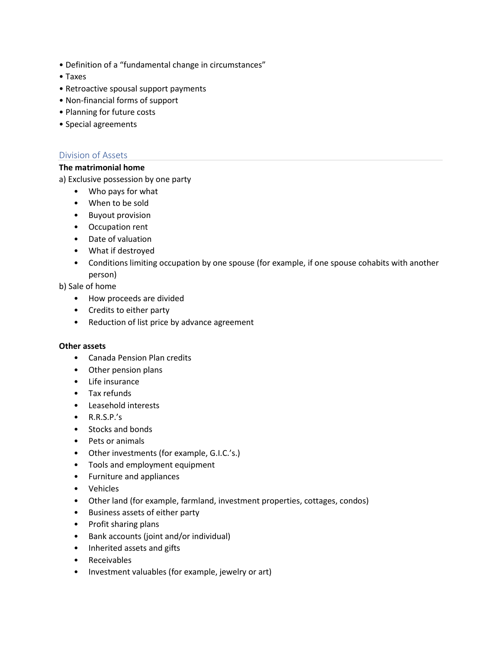- Definition of a "fundamental change in circumstances"
- Taxes
- Retroactive spousal support payments
- Non-financial forms of support
- Planning for future costs
- Special agreements

#### Division of Assets

### **The matrimonial home**

a) Exclusive possession by one party

- Who pays for what
- When to be sold
- Buyout provision
- Occupation rent
- Date of valuation
- What if destroyed
- Conditions limiting occupation by one spouse (for example, if one spouse cohabits with another person)

#### b) Sale of home

- How proceeds are divided
- Credits to either party
- Reduction of list price by advance agreement

#### **Other assets**

- Canada Pension Plan credits
- Other pension plans
- Life insurance
- Tax refunds
- Leasehold interests
- R.R.S.P.'s
- Stocks and bonds
- Pets or animals
- Other investments (for example, G.I.C.'s.)
- Tools and employment equipment
- Furniture and appliances
- Vehicles
- Other land (for example, farmland, investment properties, cottages, condos)
- Business assets of either party
- Profit sharing plans
- Bank accounts (joint and/or individual)
- Inherited assets and gifts
- Receivables
- Investment valuables (for example, jewelry or art)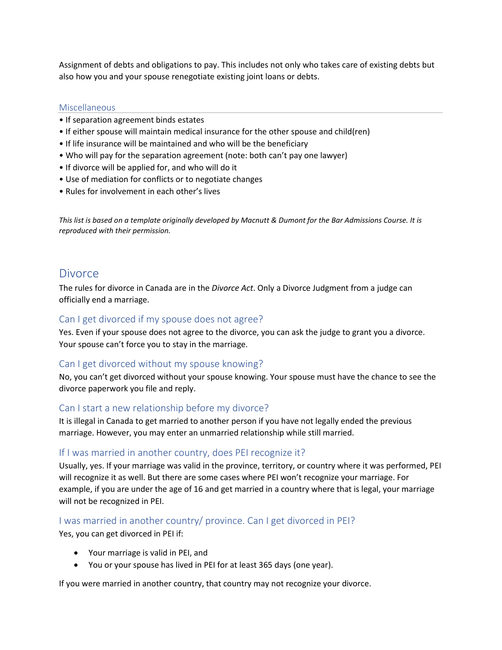Assignment of debts and obligations to pay. This includes not only who takes care of existing debts but also how you and your spouse renegotiate existing joint loans or debts.

#### **Miscellaneous**

- If separation agreement binds estates
- If either spouse will maintain medical insurance for the other spouse and child(ren)
- If life insurance will be maintained and who will be the beneficiary
- Who will pay for the separation agreement (note: both can't pay one lawyer)
- If divorce will be applied for, and who will do it
- Use of mediation for conflicts or to negotiate changes
- Rules for involvement in each other's lives

*This list is based on a template originally developed by Macnutt & Dumont for the Bar Admissions Course. It is reproduced with their permission.*

## **Divorce**

The rules for divorce in Canada are in the *Divorce Act*. Only a Divorce Judgment from a judge can officially end a marriage.

### Can I get divorced if my spouse does not agree?

Yes. Even if your spouse does not agree to the divorce, you can ask the judge to grant you a divorce. Your spouse can't force you to stay in the marriage.

### Can I get divorced without my spouse knowing?

No, you can't get divorced without your spouse knowing. Your spouse must have the chance to see the divorce paperwork you file and reply.

### Can I start a new relationship before my divorce?

It is illegal in Canada to get married to another person if you have not legally ended the previous marriage. However, you may enter an unmarried relationship while still married.

## If I was married in another country, does PEI recognize it?

Usually, yes. If your marriage was valid in the province, territory, or country where it was performed, PEI will recognize it as well. But there are some cases where PEI won't recognize your marriage. For example, if you are under the age of 16 and get married in a country where that is legal, your marriage will not be recognized in PEI.

## I was married in another country/ province. Can I get divorced in PEI?

Yes, you can get divorced in PEI if:

- Your marriage is valid in PEI, and
- You or your spouse has lived in PEI for at least 365 days (one year).

If you were married in another country, that country may not recognize your divorce.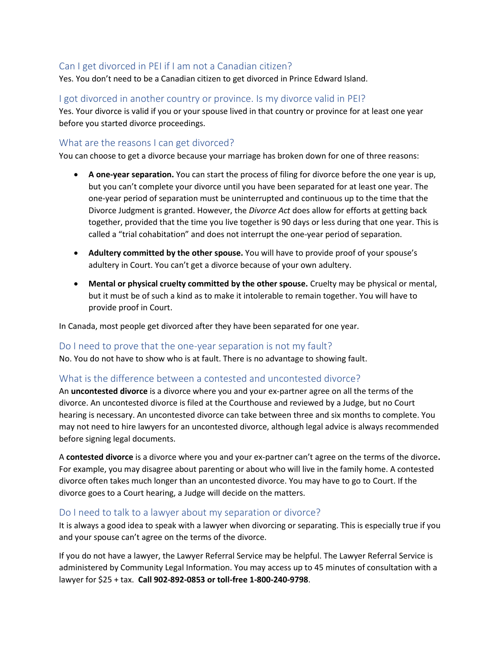## Can I get divorced in PEI if I am not a Canadian citizen?

Yes. You don't need to be a Canadian citizen to get divorced in Prince Edward Island.

## I got divorced in another country or province. Is my divorce valid in PEI?

Yes. Your divorce is valid if you or your spouse lived in that country or province for at least one year before you started divorce proceedings.

## What are the reasons I can get divorced?

You can choose to get a divorce because your marriage has broken down for one of three reasons:

- **A one-year separation.** You can start the process of filing for divorce before the one year is up, but you can't complete your divorce until you have been separated for at least one year. The one-year period of separation must be uninterrupted and continuous up to the time that the Divorce Judgment is granted. However, the *Divorce Act* does allow for efforts at getting back together, provided that the time you live together is 90 days or less during that one year. This is called a "trial cohabitation" and does not interrupt the one-year period of separation.
- **Adultery committed by the other spouse.** You will have to provide proof of your spouse's adultery in Court. You can't get a divorce because of your own adultery.
- **Mental or physical cruelty committed by the other spouse.** Cruelty may be physical or mental, but it must be of such a kind as to make it intolerable to remain together. You will have to provide proof in Court.

In Canada, most people get divorced after they have been separated for one year.

### Do I need to prove that the one-year separation is not my fault?

No. You do not have to show who is at fault. There is no advantage to showing fault.

## What is the difference between a contested and uncontested divorce?

An **uncontested divorce** is a divorce where you and your ex-partner agree on all the terms of the divorce. An uncontested divorce is filed at the Courthouse and reviewed by a Judge, but no Court hearing is necessary. An uncontested divorce can take between three and six months to complete. You may not need to hire lawyers for an uncontested divorce, although legal advice is always recommended before signing legal documents.

A **contested divorce** is a divorce where you and your ex-partner can't agree on the terms of the divorce**.**  For example, you may disagree about parenting or about who will live in the family home. A contested divorce often takes much longer than an uncontested divorce. You may have to go to Court. If the divorce goes to a Court hearing, a Judge will decide on the matters.

### Do I need to talk to a lawyer about my separation or divorce?

It is always a good idea to speak with a lawyer when divorcing or separating. This is especially true if you and your spouse can't agree on the terms of the divorce.

If you do not have a lawyer, the Lawyer Referral Service may be helpful. The Lawyer Referral Service is administered by Community Legal Information. You may access up to 45 minutes of consultation with a lawyer for \$25 + tax. **Call 902-892-0853 or toll-free 1-800-240-9798**.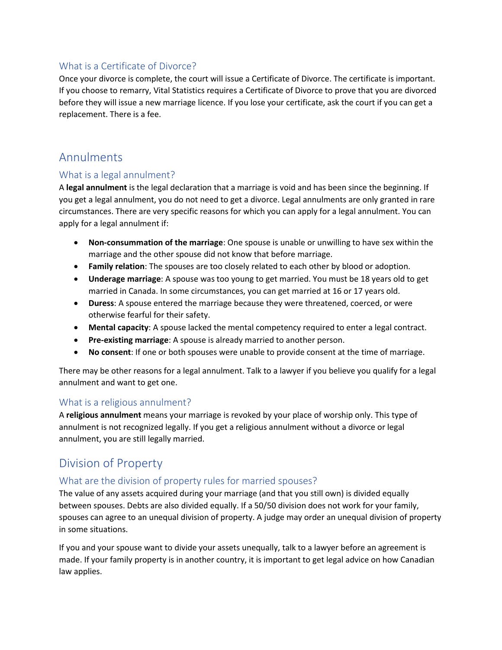## What is a Certificate of Divorce?

Once your divorce is complete, the court will issue a Certificate of Divorce. The certificate is important. If you choose to remarry, Vital Statistics requires a Certificate of Divorce to prove that you are divorced before they will issue a new marriage licence. If you lose your certificate, ask the court if you can get a replacement. There is a fee.

## Annulments

## What is a legal annulment?

A **legal annulment** is the legal declaration that a marriage is void and has been since the beginning. If you get a legal annulment, you do not need to get a divorce. Legal annulments are only granted in rare circumstances. There are very specific reasons for which you can apply for a legal annulment. You can apply for a legal annulment if:

- **Non-consummation of the marriage**: One spouse is unable or unwilling to have sex within the marriage and the other spouse did not know that before marriage.
- **Family relation**: The spouses are too closely related to each other by blood or adoption.
- **Underage marriage**: A spouse was too young to get married. You must be 18 years old to get married in Canada. In some circumstances, you can get married at 16 or 17 years old.
- **Duress**: A spouse entered the marriage because they were threatened, coerced, or were otherwise fearful for their safety.
- **Mental capacity**: A spouse lacked the mental competency required to enter a legal contract.
- **Pre-existing marriage**: A spouse is already married to another person.
- **No consent**: If one or both spouses were unable to provide consent at the time of marriage.

There may be other reasons for a legal annulment. Talk to a lawyer if you believe you qualify for a legal annulment and want to get one.

## What is a religious annulment?

A **religious annulment** means your marriage is revoked by your place of worship only. This type of annulment is not recognized legally. If you get a religious annulment without a divorce or legal annulment, you are still legally married.

# Division of Property

## What are the division of property rules for married spouses?

The value of any assets acquired during your marriage (and that you still own) is divided equally between spouses. Debts are also divided equally. If a 50/50 division does not work for your family, spouses can agree to an unequal division of property. A judge may order an unequal division of property in some situations.

If you and your spouse want to divide your assets unequally, talk to a lawyer before an agreement is made. If your family property is in another country, it is important to get legal advice on how Canadian law applies.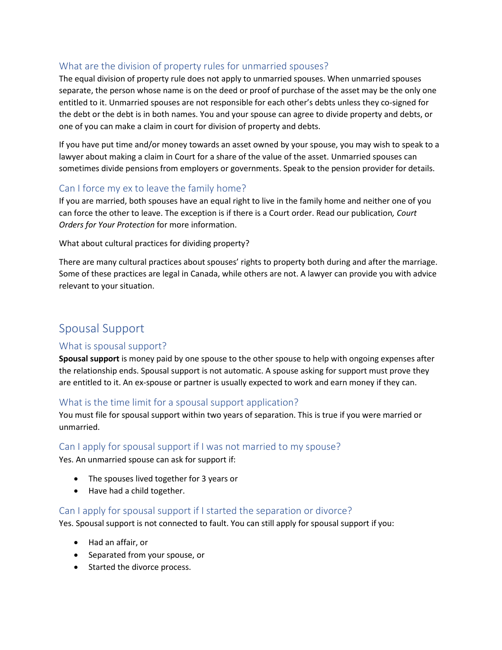## What are the division of property rules for unmarried spouses?

The equal division of property rule does not apply to unmarried spouses. When unmarried spouses separate, the person whose name is on the deed or proof of purchase of the asset may be the only one entitled to it. Unmarried spouses are not responsible for each other's debts unless they co-signed for the debt or the debt is in both names. You and your spouse can agree to divide property and debts, or one of you can make a claim in court for division of property and debts.

If you have put time and/or money towards an asset owned by your spouse, you may wish to speak to a lawyer about making a claim in Court for a share of the value of the asset. Unmarried spouses can sometimes divide pensions from employers or governments. Speak to the pension provider for details.

## Can I force my ex to leave the family home?

If you are married, both spouses have an equal right to live in the family home and neither one of you can force the other to leave. The exception is if there is a Court order. Read our publication*, Court Orders for Your Protection* for more information.

What about cultural practices for dividing property?

There are many cultural practices about spouses' rights to property both during and after the marriage. Some of these practices are legal in Canada, while others are not. A lawyer can provide you with advice relevant to your situation.

# Spousal Support

## What is spousal support?

**Spousal support** is money paid by one spouse to the other spouse to help with ongoing expenses after the relationship ends. Spousal support is not automatic. A spouse asking for support must prove they are entitled to it. An ex-spouse or partner is usually expected to work and earn money if they can.

## What is the time limit for a spousal support application?

You must file for spousal support within two years of separation. This is true if you were married or unmarried.

### Can I apply for spousal support if I was not married to my spouse?

Yes. An unmarried spouse can ask for support if:

- The spouses lived together for 3 years or
- Have had a child together.

### Can I apply for spousal support if I started the separation or divorce?

Yes. Spousal support is not connected to fault. You can still apply for spousal support if you:

- Had an affair, or
- Separated from your spouse, or
- Started the divorce process.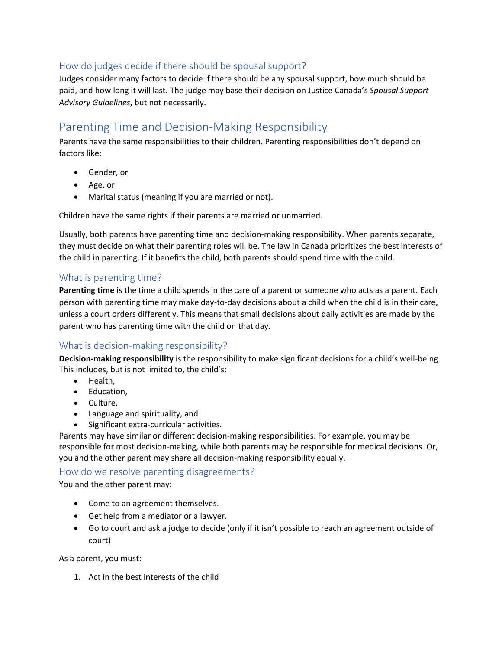## How do judges decide if there should be spousal support?

Judges consider many factors to decide if there should be any spousal support, how much should be paid, and how long it will last. The judge may base their decision on Justice Canada's *Spousal Support Advisory Guidelines*, but not necessarily.

# Parenting Time and Decision-Making Responsibility

Parents have the same responsibilities to their children. Parenting responsibilities don't depend on factors like:

- Gender, or
- Age, or
- Marital status (meaning if you are married or not).

Children have the same rights if their parents are married or unmarried.

Usually, both parents have parenting time and decision-making responsibility. When parents separate, they must decide on what their parenting roles will be. The law in Canada prioritizes the best interests of the child in parenting. If it benefits the child, both parents should spend time with the child.

## What is parenting time?

**Parenting time** is the time a child spends in the care of a parent or someone who acts as a parent. Each person with parenting time may make day-to-day decisions about a child when the child is in their care, unless a court orders differently. This means that small decisions about daily activities are made by the parent who has parenting time with the child on that day.

## What is decision-making responsibility?

**Decision-making responsibility** is the responsibility to make significant decisions for a child's well-being. This includes, but is not limited to, the child's:

- Health,
- Education,
- Culture,
- Language and spirituality, and
- Significant extra-curricular activities.

Parents may have similar or different decision-making responsibilities. For example, you may be responsible for most decision-making, while both parents may be responsible for medical decisions. Or, you and the other parent may share all decision-making responsibility equally.

### How do we resolve parenting disagreements?

You and the other parent may:

- Come to an agreement themselves.
- Get help from a mediator or a lawyer.
- Go to court and ask a judge to decide (only if it isn't possible to reach an agreement outside of court)

As a parent, you must:

1. Act in the best interests of the child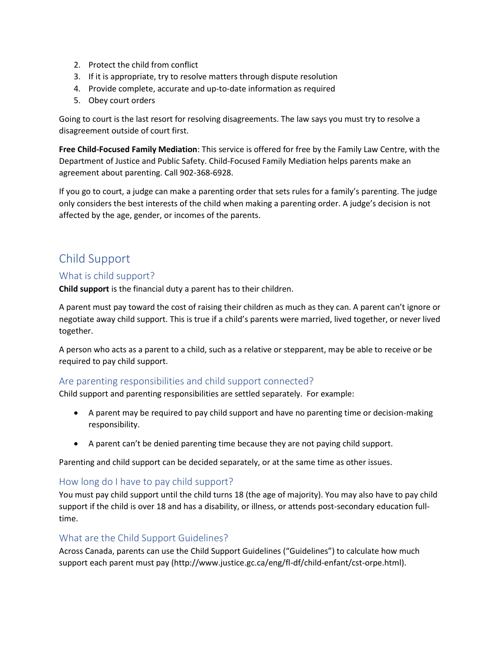- 2. Protect the child from conflict
- 3. If it is appropriate, try to resolve matters through dispute resolution
- 4. Provide complete, accurate and up-to-date information as required
- 5. Obey court orders

Going to court is the last resort for resolving disagreements. The law says you must try to resolve a disagreement outside of court first.

**Free Child-Focused Family Mediation**: This service is offered for free by the Family Law Centre, with the Department of Justice and Public Safety. Child-Focused Family Mediation helps parents make an agreement about parenting. Call 902-368-6928.

If you go to court, a judge can make a parenting order that sets rules for a family's parenting. The judge only considers the best interests of the child when making a parenting order. A judge's decision is not affected by the age, gender, or incomes of the parents.

# Child Support

### What is child support?

**Child support** is the financial duty a parent has to their children.

A parent must pay toward the cost of raising their children as much as they can. A parent can't ignore or negotiate away child support. This is true if a child's parents were married, lived together, or never lived together.

A person who acts as a parent to a child, such as a relative or stepparent, may be able to receive or be required to pay child support.

### Are parenting responsibilities and child support connected?

Child support and parenting responsibilities are settled separately. For example:

- A parent may be required to pay child support and have no parenting time or decision-making responsibility.
- A parent can't be denied parenting time because they are not paying child support.

Parenting and child support can be decided separately, or at the same time as other issues.

### How long do I have to pay child support?

You must pay child support until the child turns 18 (the age of majority). You may also have to pay child support if the child is over 18 and has a disability, or illness, or attends post-secondary education fulltime.

### What are the Child Support Guidelines?

Across Canada, parents can use the Child Support Guidelines ("Guidelines") to calculate how much support each parent must pay (http://www.justice.gc.ca/eng/fl-df/child-enfant/cst-orpe.html).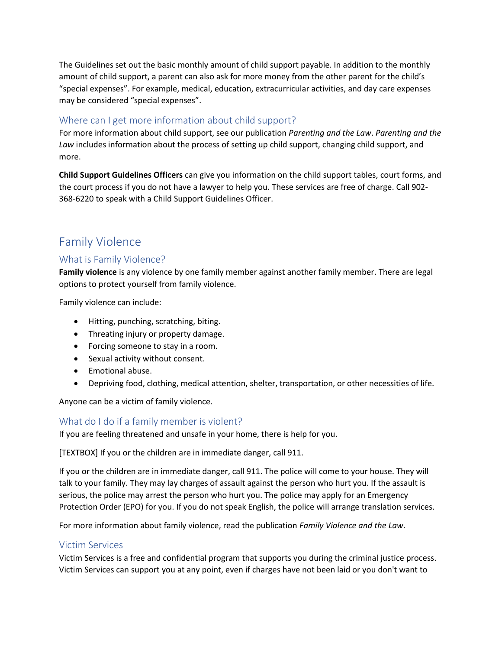The Guidelines set out the basic monthly amount of child support payable. In addition to the monthly amount of child support, a parent can also ask for more money from the other parent for the child's "special expenses". For example, medical, education, extracurricular activities, and day care expenses may be considered "special expenses".

## Where can I get more information about child support?

For more information about child support, see our publication *Parenting and the Law*. *Parenting and the Law* includes information about the process of setting up child support, changing child support, and more.

**Child Support Guidelines Officers** can give you information on the child support tables, court forms, and the court process if you do not have a lawyer to help you. These services are free of charge. Call 902- 368-6220 to speak with a Child Support Guidelines Officer.

## Family Violence

## What is Family Violence?

**Family violence** is any violence by one family member against another family member. There are legal options to protect yourself from family violence.

Family violence can include:

- Hitting, punching, scratching, biting.
- Threating injury or property damage.
- Forcing someone to stay in a room.
- Sexual activity without consent.
- Emotional abuse.
- Depriving food, clothing, medical attention, shelter, transportation, or other necessities of life.

Anyone can be a victim of family violence.

## What do I do if a family member is violent?

If you are feeling threatened and unsafe in your home, there is help for you.

[TEXTBOX] If you or the children are in immediate danger, call 911.

If you or the children are in immediate danger, call 911. The police will come to your house. They will talk to your family. They may lay charges of assault against the person who hurt you. If the assault is serious, the police may arrest the person who hurt you. The police may apply for an Emergency Protection Order (EPO) for you. If you do not speak English, the police will arrange translation services.

For more information about family violence, read the publication *Family Violence and the Law*.

## Victim Services

Victim Services is a free and confidential program that supports you during the criminal justice process. Victim Services can support you at any point, even if charges have not been laid or you don't want to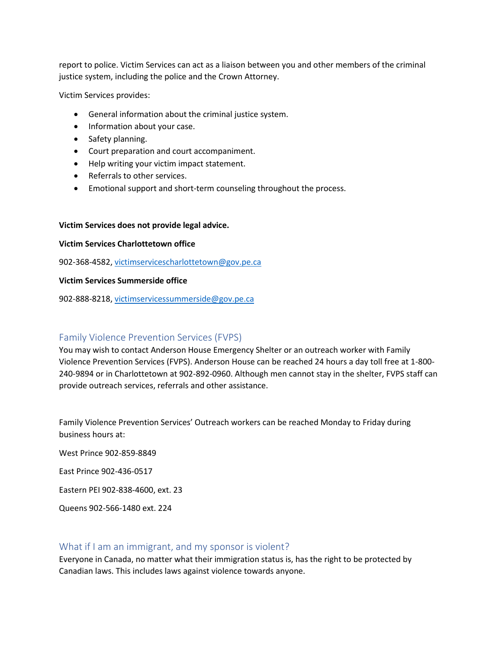report to police. Victim Services can act as a liaison between you and other members of the criminal justice system, including the police and the Crown Attorney.

Victim Services provides:

- General information about the criminal justice system.
- Information about your case.
- Safety planning.
- Court preparation and court accompaniment.
- Help writing your victim impact statement.
- Referrals to other services.
- Emotional support and short-term counseling throughout the process.

#### **Victim Services does not provide legal advice.**

#### **Victim Services Charlottetown office**

902-368-4582[, victimservicescharlottetown@gov.pe.ca](mailto:victimservicescharlottetown@gov.pe.ca)

#### **Victim Services Summerside office**

902-888-8218[, victimservicessummerside@gov.pe.ca](mailto:victimservicessummerside@gov.pe.ca)

### Family Violence Prevention Services (FVPS)

You may wish to contact Anderson House Emergency Shelter or an outreach worker with Family Violence Prevention Services (FVPS). Anderson House can be reached 24 hours a day toll free at 1-800- 240-9894 or in Charlottetown at 902-892-0960. Although men cannot stay in the shelter, FVPS staff can provide outreach services, referrals and other assistance.

Family Violence Prevention Services' Outreach workers can be reached Monday to Friday during business hours at:

West Prince 902-859-8849

East Prince 902-436-0517

Eastern PEI 902-838-4600, ext. 23

Queens 902-566-1480 ext. 224

#### What if I am an immigrant, and my sponsor is violent?

Everyone in Canada, no matter what their immigration status is, has the right to be protected by Canadian laws. This includes laws against violence towards anyone.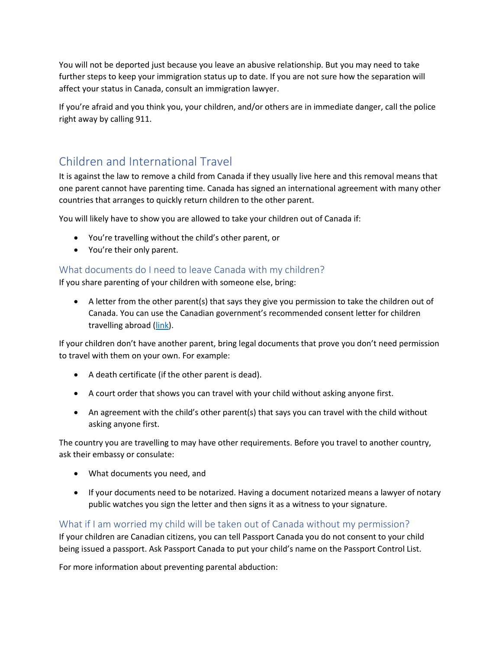You will not be deported just because you leave an abusive relationship. But you may need to take further steps to keep your immigration status up to date. If you are not sure how the separation will affect your status in Canada, consult an immigration lawyer.

If you're afraid and you think you, your children, and/or others are in immediate danger, call the police right away by calling 911.

# Children and International Travel

It is against the law to remove a child from Canada if they usually live here and this removal means that one parent cannot have parenting time. Canada has signed an international agreement with many other countries that arranges to quickly return children to the other parent.

You will likely have to show you are allowed to take your children out of Canada if:

- You're travelling without the child's other parent, or
- You're their only parent.

## What documents do I need to leave Canada with my children?

If you share parenting of your children with someone else, bring:

• A letter from the other parent(s) that says they give you permission to take the children out of Canada. You can use the Canadian government's recommended consent letter for children travelling abroad [\(link\)](https://travel.gc.ca/travelling/children/consent-letter).

If your children don't have another parent, bring legal documents that prove you don't need permission to travel with them on your own. For example:

- A death certificate (if the other parent is dead).
- A court order that shows you can travel with your child without asking anyone first.
- An agreement with the child's other parent(s) that says you can travel with the child without asking anyone first.

The country you are travelling to may have other requirements. Before you travel to another country, ask their embassy or consulate:

- What documents you need, and
- If your documents need to be notarized. Having a document notarized means a lawyer of notary public watches you sign the letter and then signs it as a witness to your signature.

## What if I am worried my child will be taken out of Canada without my permission?

If your children are Canadian citizens, you can tell Passport Canada you do not consent to your child being issued a passport. Ask Passport Canada to put your child's name on the Passport Control List.

For more information about preventing parental abduction: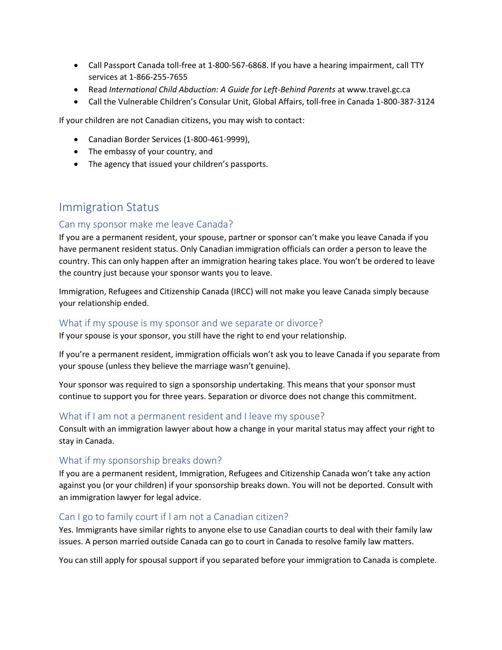- Call Passport Canada toll-free at 1-800-567-6868. If you have a hearing impairment, call TTY services at 1-866-255-7655
- Read *International Child Abduction: A Guide for Left-Behind Parents* at www.travel.gc.ca
- Call the Vulnerable Children's Consular Unit, Global Affairs, toll-free in Canada 1-800-387-3124

If your children are not Canadian citizens, you may wish to contact:

- Canadian Border Services (1-800-461-9999),
- The embassy of your country, and
- The agency that issued your children's passports.

## Immigration Status

### Can my sponsor make me leave Canada?

If you are a permanent resident, your spouse, partner or sponsor can't make you leave Canada if you have permanent resident status. Only Canadian immigration officials can order a person to leave the country. This can only happen after an immigration hearing takes place. You won't be ordered to leave the country just because your sponsor wants you to leave.

Immigration, Refugees and Citizenship Canada (IRCC) will not make you leave Canada simply because your relationship ended.

### What if my spouse is my sponsor and we separate or divorce?

If your spouse is your sponsor, you still have the right to end your relationship.

If you're a permanent resident, immigration officials won't ask you to leave Canada if you separate from your spouse (unless they believe the marriage wasn't genuine).

Your sponsor was required to sign a sponsorship undertaking. This means that your sponsor must continue to support you for three years. Separation or divorce does not change this commitment.

## What if I am not a permanent resident and I leave my spouse?

Consult with an immigration lawyer about how a change in your marital status may affect your right to stay in Canada.

### What if my sponsorship breaks down?

If you are a permanent resident, Immigration, Refugees and Citizenship Canada won't take any action against you (or your children) if your sponsorship breaks down. You will not be deported. Consult with an immigration lawyer for legal advice.

### Can I go to family court if I am not a Canadian citizen?

Yes. Immigrants have similar rights to anyone else to use Canadian courts to deal with their family law issues. A person married outside Canada can go to court in Canada to resolve family law matters.

You can still apply for spousal support if you separated before your immigration to Canada is complete.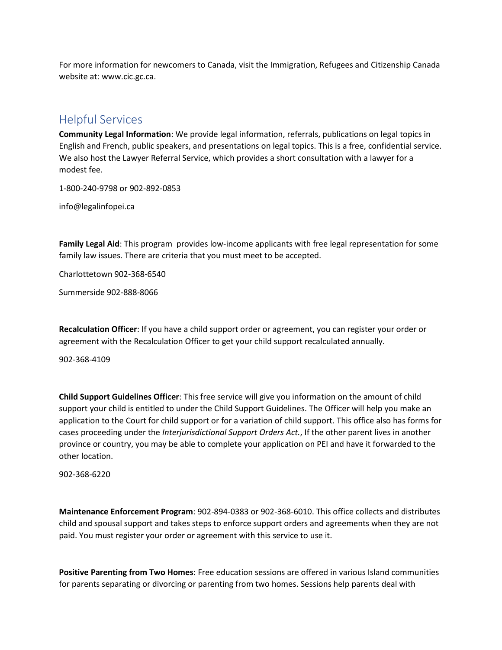For more information for newcomers to Canada, visit the Immigration, Refugees and Citizenship Canada website at: www.cic.gc.ca.

## Helpful Services

**Community Legal Information**: We provide legal information, referrals, publications on legal topics in English and French, public speakers, and presentations on legal topics. This is a free, confidential service. We also host the Lawyer Referral Service, which provides a short consultation with a lawyer for a modest fee.

1-800-240-9798 or 902-892-0853

info@legalinfopei.ca

**Family Legal Aid**: This program provides low-income applicants with free legal representation for some family law issues. There are criteria that you must meet to be accepted.

Charlottetown 902-368-6540

Summerside 902-888-8066

**Recalculation Officer**: If you have a child support order or agreement, you can register your order or agreement with the Recalculation Officer to get your child support recalculated annually.

902-368-4109

**Child Support Guidelines Officer**: This free service will give you information on the amount of child support your child is entitled to under the Child Support Guidelines. The Officer will help you make an application to the Court for child support or for a variation of child support. This office also has forms for cases proceeding under the *Interjurisdictional Support Orders Act.*, If the other parent lives in another province or country, you may be able to complete your application on PEI and have it forwarded to the other location.

902-368-6220

**Maintenance Enforcement Program**: 902-894-0383 or 902-368-6010. This office collects and distributes child and spousal support and takes steps to enforce support orders and agreements when they are not paid. You must register your order or agreement with this service to use it.

**Positive Parenting from Two Homes**: Free education sessions are offered in various Island communities for parents separating or divorcing or parenting from two homes. Sessions help parents deal with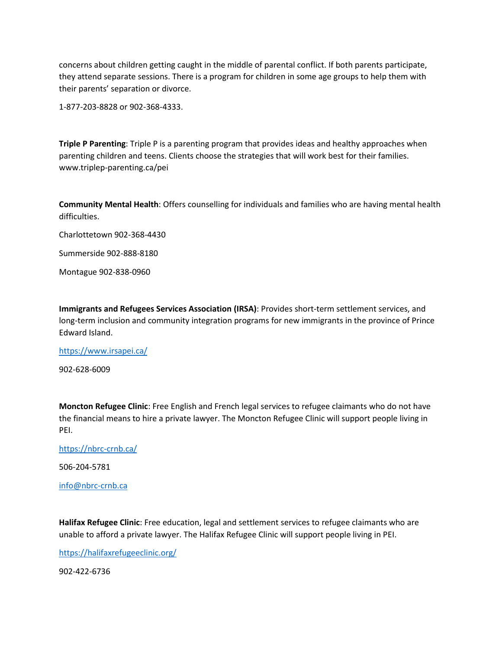concerns about children getting caught in the middle of parental conflict. If both parents participate, they attend separate sessions. There is a program for children in some age groups to help them with their parents' separation or divorce.

1-877-203-8828 or 902-368-4333.

**Triple P Parenting**: Triple P is a parenting program that provides ideas and healthy approaches when parenting children and teens. Clients choose the strategies that will work best for their families. www.triplep-parenting.ca/pei

**Community Mental Health**: Offers counselling for individuals and families who are having mental health difficulties.

Charlottetown 902-368-4430

Summerside 902-888-8180

Montague 902-838-0960

**Immigrants and Refugees Services Association (IRSA)**: Provides short-term settlement services, and long-term inclusion and community integration programs for new immigrants in the province of Prince Edward Island.

<https://www.irsapei.ca/>

902-628-6009

**Moncton Refugee Clinic**: Free English and French legal services to refugee claimants who do not have the financial means to hire a private lawyer. The Moncton Refugee Clinic will support people living in PEI.

<https://nbrc-crnb.ca/>

506-204-5781

[info@nbrc-crnb.ca](mailto:info@nbrc-crnb.ca)

**Halifax Refugee Clinic**: Free education, legal and settlement services to refugee claimants who are unable to afford a private lawyer. The Halifax Refugee Clinic will support people living in PEI.

<https://halifaxrefugeeclinic.org/>

902-422-6736